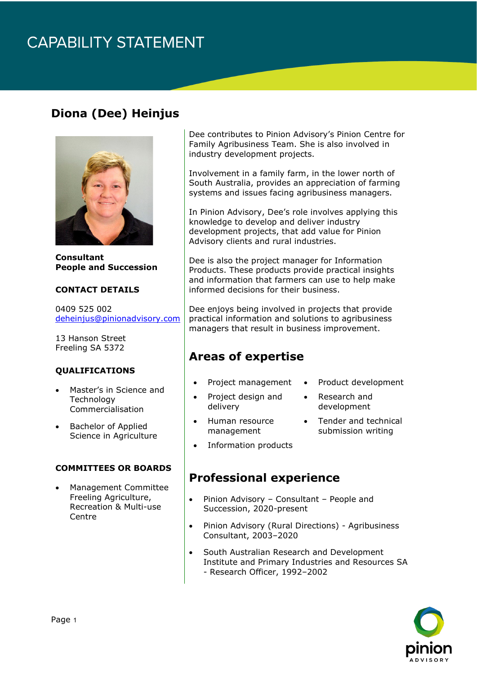# **CAPABILITY STATEMENT**

## **Diona (Dee) Heinjus**



**Consultant People and Succession**

#### **CONTACT DETAILS**

0409 525 002 [deheinjus@pinionadvisory.com](mailto:deheinjus@pinionadvisory.com)

13 Hanson Street Freeling SA 5372

#### **QUALIFICATIONS**

- Master's in Science and **Technology** Commercialisation
- Bachelor of Applied Science in Agriculture

#### **COMMITTEES OR BOARDS**

• Management Committee Freeling Agriculture, Recreation & Multi-use **Centre** 

Dee contributes to Pinion Advisory's Pinion Centre for Family Agribusiness Team. She is also involved in industry development projects.

Involvement in a family farm, in the lower north of South Australia, provides an appreciation of farming systems and issues facing agribusiness managers.

In Pinion Advisory, Dee's role involves applying this knowledge to develop and deliver industry development projects, that add value for Pinion Advisory clients and rural industries.

Dee is also the project manager for Information Products. These products provide practical insights and information that farmers can use to help make informed decisions for their business.

Dee enjoys being involved in projects that provide practical information and solutions to agribusiness managers that result in business improvement.

### **Areas of expertise**

- Project management
- Product development
- Project design and delivery
- Research and development
- Human resource management
- Tender and technical submission writing
- 
- Information products

### **Professional experience**

- Pinion Advisory Consultant People and Succession, 2020-present
- Pinion Advisory (Rural Directions) Agribusiness Consultant, 2003–2020
- South Australian Research and Development Institute and Primary Industries and Resources SA - Research Officer, 1992–2002